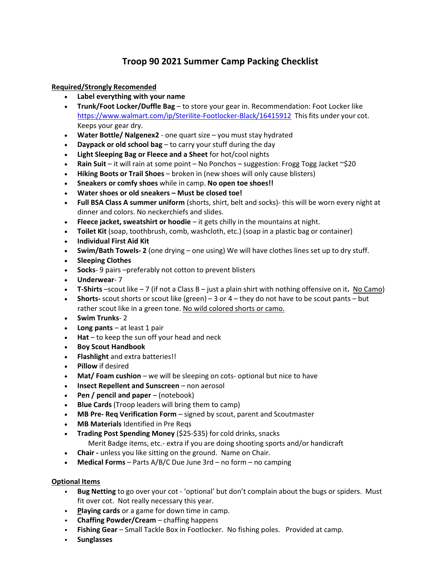# **Troop 90 2021 Summer Camp Packing Checklist**

#### **Required/Strongly Recomended**

- **Label everything with your name**
- **Trunk/Foot Locker/Duffle Bag**  to store your gear in. Recommendation: Foot Locker like https:/[/www.walmart.com/ip/Sterilite-Footlocker-Black/16415912](http://www.walmart.com/ip/Sterilite-Footlocker-Black/16415912) This fits under your cot. Keeps your gear dry.
- **Water Bottle/ Nalgenex2** one quart size you must stay hydrated
- **Daypack or old school bag**  to carry your stuff during the day
- **Light Sleeping Bag or Fleece and a Sheet** for hot/cool nights
- **Rain Suit** it will rain at some point No Ponchos suggestion: Frogg Togg Jacket ~\$20
- **Hiking Boots or Trail Shoes** broken in (new shoes will only cause blisters)
- **Sneakers or comfy shoes** while in camp. **No open toe shoes!!**
- **Water shoes or old sneakers – Must be closed toe!**
- **Full BSA Class A summer uniform** (shorts, shirt, belt and socks)- this will be worn every night at dinner and colors. No neckerchiefs and slides.
- **Fleece jacket, sweatshirt or hoodie** it gets chilly in the mountains at night.
- **Toilet Kit** (soap, toothbrush, comb, washcloth, etc.) (soap in a plastic bag or container)
- **Individual First Aid Kit**
- **Swim/Bath Towels- 2** (one drying one using) We will have clothes lines set up to dry stuff.
- **Sleeping Clothes**
- **Socks** 9 pairs –preferably not cotton to prevent blisters
- **Underwear** 7
- **T-Shirts** –scout like 7 (if not a Class B just a plain shirt with nothing offensive on it**.** No Camo)
- **Shorts-** scout shorts or scout like (green) 3 or 4 they do not have to be scout pants but rather scout like in a green tone. No wild colored shorts or camo.
- **Swim Trunks** 2
- **Long pants** at least 1 pair
- **Hat** to keep the sun off your head and neck
- **Boy Scout Handbook**
- **Flashlight** and extra batteries!!
- **Pillow** if desired
- **Mat/ Foam cushion** we will be sleeping on cots- optional but nice to have
- **Insect Repellent and Sunscreen**  non aerosol
- **Pen / pencil and paper**  (notebook)
- **Blue Cards** (Troop leaders will bring them to camp)
- **MB Pre- Req Verification Form** signed by scout, parent and Scoutmaster
- **MB Materials** Identified in Pre Reqs
- **Trading Post Spending Money** (\$25-\$35) for cold drinks, snacks Merit Badge items, etc.- extra if you are doing shooting sports and/or handicraft
	-
- **Chair -** unless you like sitting on the ground. Name on Chair.
- **Medical Forms**  Parts A/B/C Due June 3rd no form no camping

### **Optional Items**

- **Bug Netting** to go over your cot 'optional' but don't complain about the bugs or spiders. Must fit over cot. Not really necessary this year.
- **Playing cards** or a game for down time in camp.
- **Chaffing Powder/Cream** chaffing happens
- **Fishing Gear** Small Tackle Box in Footlocker. No fishing poles. Provided at camp.
- **Sunglasses**